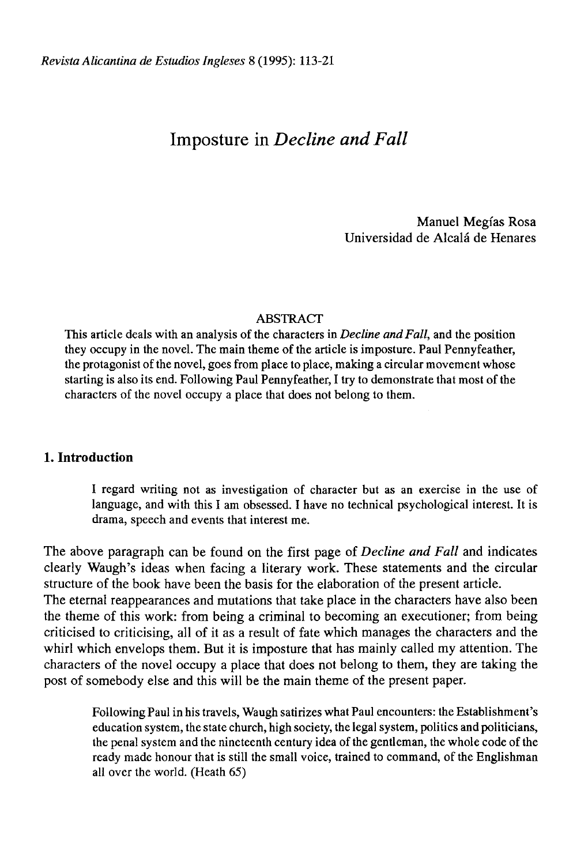# Imposture in *Decline and Fall*

Manuel Megías Rosa Universidad de Alcalá de Henares

## ABSTRACT

This article deals with an analysis of the characters in *Decline and Fall,* and the position they occupy in the novel. The main theme of the article is imposture. Paul Pennyfeather, the protagonist of the novel, goes from place to place, making a circular movement whose starting is also its end. Following Paul Pennyfeather, I try to demónstrate that most of the characters of the novel occupy a place that does not belong to them.

## **1. Introduction**

I regard writing not as investigation of character but as an exercise in the use of language, and with this I am obsessed. I have no technical psychological interest. It is drama, speech and events that interest me.

The above paragraph can be found on the first page of *Decline and Fall* and indicates clearly Waugh's ideas when facing a literary work. These statements and the circular structure of the book have been the basis for the elaboration of the present article. The eternal reappearances and mutations that take place in the characters have also been the theme of this work: from being a criminal to becoming an executioner; from being criticised to criticising, all of it as a result of fate which manages the characters and the whirl which envelops them. But it is imposture that has mainly called my attention. The characters of the novel occupy a place that does not belong to them, they are taking the post of somebody else and this will be the main theme of the present paper.

Following Paul in his travels, Waugh satirizes what Paul encounters: the Establishment's education system, the state church, high society, the legal system, politics and politicians, the penal system and the nineteenth century idea of the gentleman, the whole code of the ready made honour that is still the small voice, trained to command, of the Englishman all over the world. (Heath 65)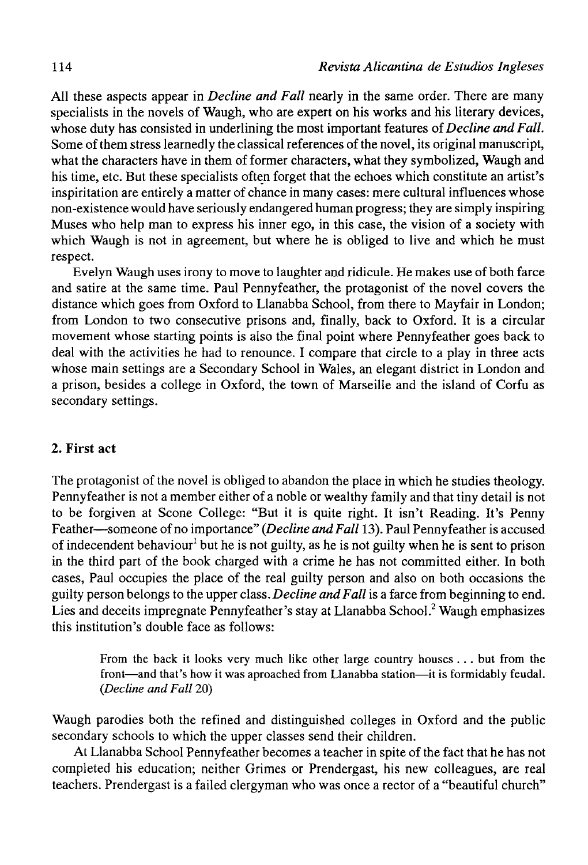All these aspects appear in *Decline and Fall* nearly in the same order. There are many specialists in the novels of Waugh, who are expert on his works and his literary devices, whose duty has consisted in underlining the most important features *oí Decline and Fall.*  Some of them stress learnedly the classical references of the novel, its original manuscript, what the characters have in them of former characters, what they symbolized, Waugh and his time, etc. But these specialists often forget that the echoes which constitute an artist's inspiritation are entirely a matter of chance in many cases: mere cultural influences whose non-existence would have seriously endangered human progress; they are simply inspiring Muses who help man to express his inner ego, in this case, the vision of a society with which Waugh is not in agreement, but where he is obliged to live and which he must respect.

Evelyn Waugh uses irony to move to laughter and ridicule. He makes use of both farce and satire at the same time. Paul Pennyfeather, the protagonist of the novel covers the distance which goes from Oxford to Llanabba School, from there to Mayfair in London; from London to two consecutive prisons and, finally, back to Oxford. It is a circular movement whose starting points is also the final point where Pennyfeather goes back to deal with the activities he had to renounce. I compare that circle to a play in three acts whose main settings are a Secondary School in Wales, an elegant district in London and a prison, besides a college in Oxford, the town of Marseille and the island of Corfú as secondary settings.

### 2. **First act**

The protagonist of the novel is obliged to abandon the place in which he studies theology. Pennyfeather is not a member either of a noble or wealthy family and that tiny detail is not to be forgiven at Scone College: "But it is quite right. It isn't Reading. It's Penny Feather—someone of no importance" *(Decline and Fall* 13). Paul Pennyfeather is accused of indecendent behaviour<sup>1</sup> but he is not guilty, as he is not guilty when he is sent to prison in the third part of the book charged with a crime he has not committed either. In both cases, Paul occupies the place of the real guilty person and also on both occasions the guilty person belongs to the upper class. *Decline and Fall* is a farce from beginning to end. Lies and deceits impregnate Pennyfeather's stay at Llanabba School.<sup>2</sup> Waugh emphasizes this institution's double face as follows:

From the back it looks very much like other large country houses... but from the front—and that's how it was aproached from Llanabba station—it is formidably feudal. *(Decline and Fall* 20)

Waugh parodies both the refined and distinguished colleges in Oxford and the public secondary schools to which the upper classes send their children.

At Llanabba School Pennyfeather becomes a teacher in spite of the fact that he has not completed his education; neither Grimes or Prendergast, his new colleagues, are real teachers. Prendergast is a failed clergyman who was once a rector of a "beautiful church"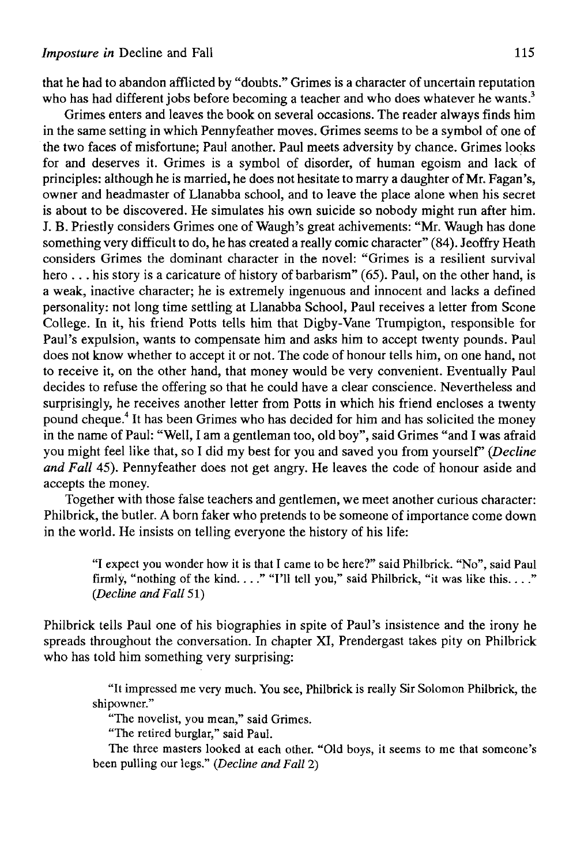that he had to abandon afflicted by "doubts." Grimes is a character of uncertain reputation who has had different jobs before becoming a teacher and who does whatever he wants.<sup>3</sup>

Grimes enters and leaves the book on several occasions. The reader always finds him in the same setting in which Pennyfeather moves. Grimes seems to be a symbol of one of the two faces of misfortune; Paul another. Paul meets adversity by chance. Grimes looks for and deserves it. Grimes is a symbol of disorder, of human egoism and lack of principies: although he is married, he does not hesitate to marry a daughter of Mr. Fagan's, owner and headmaster of Llanabba school, and to leave the place alone when his secret is about to be discovered. He simulates his own suicide so nobody might run after him. J. B. Priestly considers Grimes one of Waugh's great achivements: "Mr. Waugh has done something very difficult to do, he has created a really comic character" (84). Jeoffry Heath considers Grimes the dominant character in the novel: "Grimes is a resilient survival hero ... his story is a caricature of history of barbarism" (65). Paul, on the other hand, is a weak, inactive character; he is extremely ingenuous and innocent and lacks a defined personality: not long time settling at Llanabba School, Paul receives a letter from Scone College. In it, his friend Potts tells him that Digby-Vane Trumpigton, responsible for Paul's expulsion, wants to compensate him and asks him to accept twenty pounds. Paul does not know whether to accept it or not. The code of honour tells him, on one hand, not to receive it, on the other hand, that money would be very convenient. Eventually Paul decides to refuse the offering so that he could have a clear conscience. Nevertheless and surprisingly, he receives another letter from Potts in which his friend encloses a twenty pound cheque.<sup>4</sup> It has been Grimes who has decided for him and has solicited the money in the name of Paul: "Well, I am a gentleman too, old boy", said Grimes "and I was afraid you might feel like that, so I did my best for you and saved you from yourself' *(Decline and Fall* 45). Pennyfeather does not get angry. He leaves the code of honour aside and accepts the money.

Together with those false teachers and gentlemen, we meet another curious character: Philbrick, the butler. A born faker who pretends to be someone of importance come down in the world. He insists on telling everyone the history of his life:

"I expect you wonder how it is that I came to be here?" said Philbrick. "No", said Paul firmly, "nothing of the kind...." "I'll tell you," said Philbrick, "it was like this...." *(Decline and Fall* 51)

Philbrick tells Paul one of his biographies in spite of Paul's insistence and the irony he spreads throughout the conversation. In chapter XI, Prendergast takes pity on Philbrick who has told him something very surprising:

"It impressed me very much. You see, Philbrick is really Sir Solomon Philbrick, the shipowner."

"The novelist, you mean," said Grimes.

"The retired burglar," said Paul.

The three masters looked at each other. "Oíd boys, it seems to me that someone's been pulling our legs." *(Decline and Fall* 2)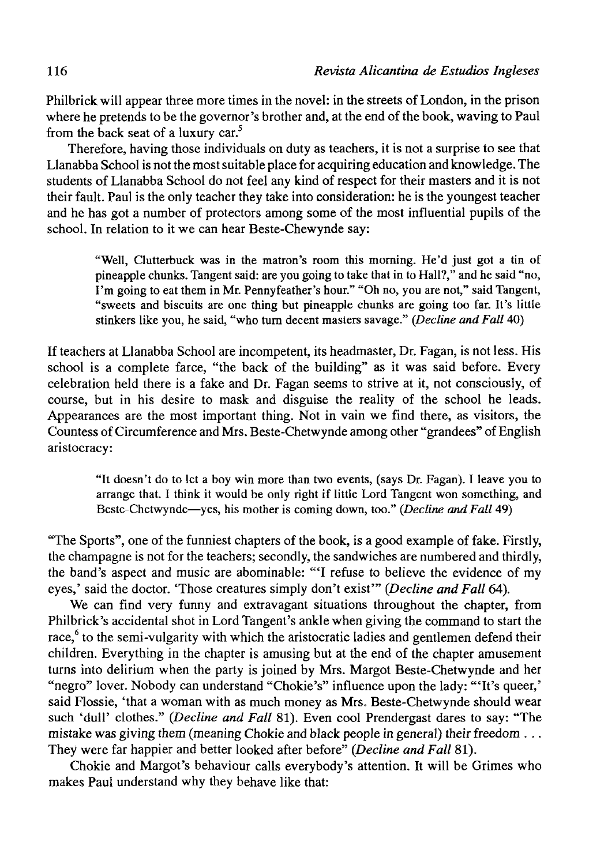Philbrick will appear three more times in the novel: in the streets of London, in the prison where he pretends to be the governor's brother and, at the end of the book, waving to Paul from the back seat of a luxury car.<sup>5</sup>

Therefore, having those individuals on duty as teachers, it is not a surprise to see that Llanabba School is not the most suitable place for acquiring education and knowledge. The students of Llanabba School do not feel any kind of respect for their masters and it is not their fault. Paul is the only teacher they take into consideration: he is the youngest teacher and he has got a number of protectors among some of the most influential pupils of the school. In relation to it we can hear Beste-Chewynde say:

"Well, Clutterbuck was in the matron's room this morning. He'd just got a tin of pineapple chunks. Tangent said: are you going to take that in to Hall?," and he said "no, I'm going to eat them in Mr. Pennyfeather's hour." "Oh no, you are not," said Tangent, "sweets and biscuits are one thing but pineapple chunks are going too far. It's little stinkers like you, he said, "who turn decent masters savage." *(Decline and Fall* 40)

If teachers at Llanabba School are incompetent, its headmaster, Dr. Fagan, is not less. His school is a complete farce, "the back of the building" as it was said before. Every celebration held there is a fake and Dr. Fagan seems to strive at it, not consciously, of course, but in his desire to mask and disguise the reality of the school he leads. Appearances are the most important thing. Not in vain we find there, as visitors, the Countess of Circumference and Mrs. Beste-Chetwynde among other "grandees" of English aristocracy:

"It doesn't do to let a boy win more than two events, (says Dr. Fagan). I leave you to arrange that. I think it would be only right if little Lord Tangent won something, and Beste-Chetwynde—yes, his mother is coming down, too." (Decline and Fall 49)

"The Sports", one of the funniest chapters of the book, is a good example of fake. Firstly, the champagne is not for the teachers; secondly, the sandwiches are numbered and thirdly, the band's aspect and music are abominable: "T refuse to believe the evidence of my eyes,' said the doctor. 'Those creatures simply don't exist'" (Decline and Fall 64).

We can find very funny and extravagant situations throughout the chapter, from Philbrick's accidental shot in Lord Tangent's ankle when giving the command to start the race,<sup>6</sup> to the semi-vulgarity with which the aristocratic ladies and gentlemen defend their children. Everything in the chapter is amusing but at the end of the chapter amusement turns into delirium when the party is joined by Mrs. Margot Beste-Chetwynde and her "negro" lover. Nobody can understand "Chokie's" influence upon the lady: "'It's queer,' said Flossie, 'that a woman with as much money as Mrs. Beste-Chetwynde should wear such 'dull' clothes." (Decline and Fall 81). Even cool Prendergast dares to say: "The mistake was giving them (meaning Chokie and black people in general) their freedom .. . They were far happier and better looked after before" *(Decline and Fall* 81).

Chokie and Margot's behaviour calis everybody's attention. It will be Grimes who makes Paul understand why they behave like that: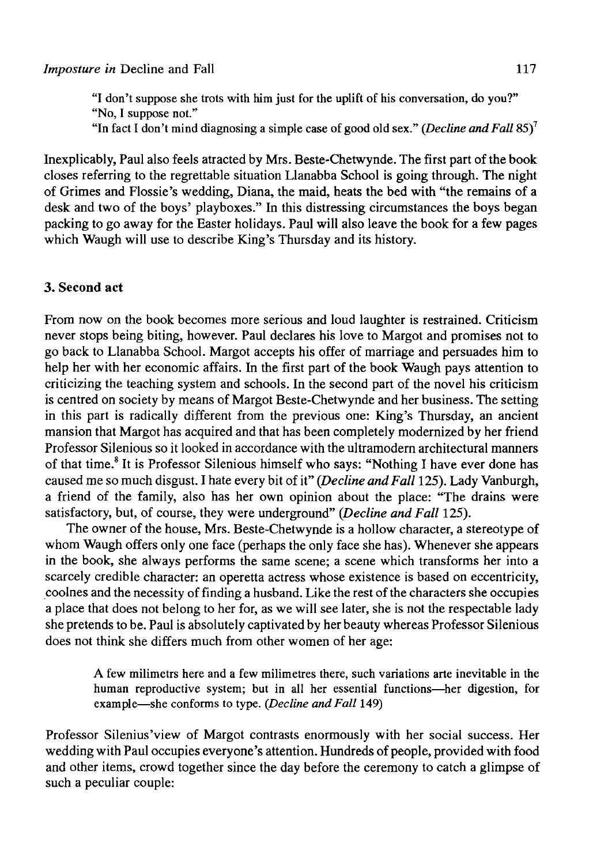"I don't suppose she trots with him just for the uplift of his conversation, do you?" "No, I suppose not."

"In fact I don't mind diagnosing a simple case of good oíd sex." *{Decline and Fall* 85)<sup>7</sup>

Inexplicably, Paul also feels atracted by Mrs. Beste-Chetwynde. The first part of the book closes referring to the regrettable situation Llanabba School is going through. The night of Grimes and Flossie's wedding, Diana, the maid, heats the bed with "the remains of a desk and two of the boys' playboxes." In this distressing circumstances the boys began packing to go away for the Easter holidays. Paul will also leave the book for a few pages which Waugh will use to describe King's Thursday and its history.

## 3. Second **act**

From now on the book becomes more serious and loud laughter is restrained. Criticism never stops being biting, however. Paul declares his love to Margot and promises not to go back to Llanabba School. Margot accepts his offer of marriage and persuades him to help her with her economic affairs. In the first part of the book Waugh pays attention to criticizing the teaching system and schools. In the second part of the novel his criticism is centred on society by means of Margot Beste-Chetwynde and her business. The setting in this part is radically different from the previous one: King's Thursday, an ancient mansión that Margot has acquired and that has been completely modernized by her friend Professor Silenious so it looked in accordance with the ultramodern architectural manners of that time.<sup>8</sup> It is Professor Silenious himself who says: "Nothing I have ever done has caused me so much disgust. I hate every bit of it" *(Decline and Fall* 125). Lady Vanburgh, a friend of the family, also has her own opinión about the place: "The drains were satisfactory, but, of course, they were underground" *(Decline and Fall* 125).

The owner of the house, Mrs. Beste-Chetwynde is a hollow character, a stereotype of whom Waugh offers only one face (perhaps the only face she has). Whenever she appears in the book, she always performs the same scene; a scene which transforms her into a scarcely credible character: an operetta actress whose existence is based on eccentricity, coolnes and the necessity of finding a husband. Like the rest of the characters she occupies a place that does not belong to her for, as we will see later, she is not the respectable lady she pretends to be. Paul is absolutely captivated by her beauty whereas Professor Silenious does not think she differs much from other women of her age:

A few milimetrs here and a few milimetres there, such variations arte inevitable in the human reproductive system; but in all her essential functions—her digestion, for example—she conforms to type. *(Decline and Fall* 149)

Professor Silenius'view of Margot contrasts enormously with her social success. Her wedding with Paul occupies everyone's attention. Hundreds of people, provided with food and other items, crowd together since the day before the ceremony to catch a glimpse of such a peculiar couple: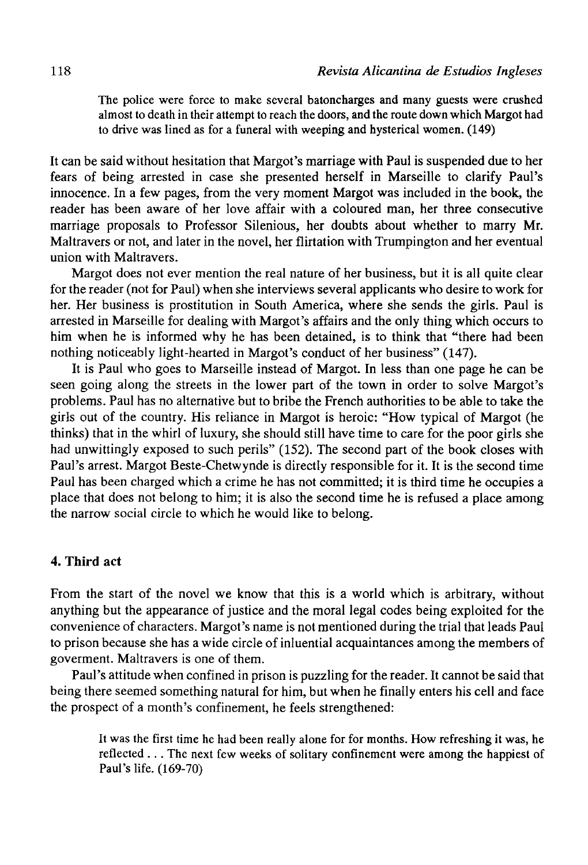The police were force to make several batoncharges and many guests were crushed almost to death in their attempt to reach the doors, and the route down which Margot had to drive was lined as for a funeral with weeping and hysterical women. (149)

It can be said without hesitation that Margot's marriage with Paul is suspended due to her fears of being arrested in case she presented herself in Marseille to clarify Paul's innocence. In a few pages, from the very moment Margot was included in the book, the reader has been aware of her love affair with a coloured man, her three consecutive marriage proposals to Professor Silenious, her doubts about whether to marry Mr. Maltravers or not, and later in the novel, her flirtation with Trumpington and her eventual unión with Maltravers.

Margot does not ever mention the real nature of her business, but it is all quite clear for the reader (not for Paul) when she interviews several applicants who desire to work for her. Her business is prostitution in South America, where she sends the girls. Paul is arrested in Marseille for dealing with Margot's affairs and the only thing which occurs to him when he is informed why he has been detained, is to think that "there had been nothing noticeably light-hearted in Margot's conduct of her business" (147).

It is Paul who goes to Marseille instead of Margot. In less than one page he can be seen going along the streets in the lower part of the town in order to solve Margot's problems. Paul has no alternative but to bribe the French authorities to be able to take the girls out of the country. His reliance in Margot is heroic: "How typical of Margot (he thinks) that in the whirl of luxury, she should still have time to care for the poor girls she had unwittingly exposed to such perils" (152). The second part of the book closes with Paul's arrest. Margot Beste-Chetwynde is directly responsible for it. It is the second time Paul has been charged which a crime he has not committed; it is third time he occupies a place that does not belong to him; it is also the second time he is refused a place among the narrow social circle to which he would like to belong.

## **4. Third act**

From the start of the novel we know that this is a world which is arbitrary, without anything but the appearance of justice and the moral legal codes being exploited for the convenience of characters. Margot's name is not mentioned during the trial that leads Paul to prison because she has a wide circle of inluential acquaintances among the members of goverment. Maltravers is one of them.

Paul's attitude when confined in prison is puzzling for the reader. It cannot be said that being there seemed something natural for him, but when he finally enters his cell and face the prospect of a month's confinement, he feels strengthened:

It was the first time he had been really alone for for months. How refreshing it was, he reflected .. . The next few weeks of solitary confinement were among the happiest of Paul's life. (169-70)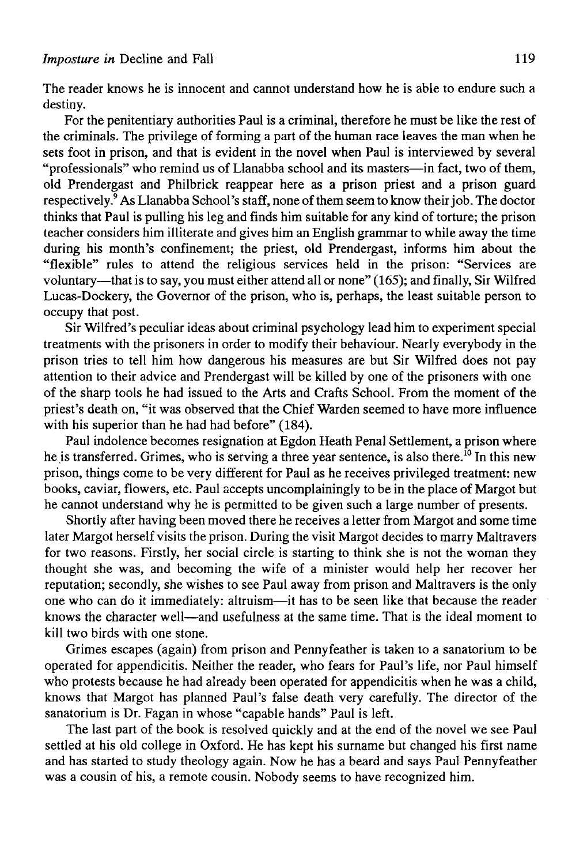The reader knows he is innocent and cannot understand how he is able to endure such a destiny.

For the penitentiary authorities Paul is a criminal, therefore he must be like the rest of the criminals. The privilege of forming a part of the human race leaves the man when he sets foot in prison, and that is evident in the novel when Paul is interviewed by several "professionals" who remind us of Llanabba school and its masters—in fact, two of them, oíd Prendergast and Philbrick reappear here as a prison priest and a prison guard respectively.<sup>9</sup> As Llanabba School's staff, none of them seem to know their job. The doctor thinks that Paul is pulling his leg and finds him suitable for any kind of torture; the prison teacher considers him illiterate and gives him an English grammar to while away the time during his month's confinement; the priest, old Prendergast, informs him about the "flexible" rules to attend the religious services held in the prison: "Services are voluntary—that is to say, you must either attend all or none" (165); and finally, Sir Wilfred Lucas-Dockery, the Governor of the prison, who is, perhaps, the least suitable person to occupy that post.

Sir Wilfred's peculiar ideas about criminal psychology lead him to experiment special treatments with the prisoners in order to modify their behaviour. Nearly everybody in the prison tries to tell him how dangerous his measures are but Sir Wilfred does not pay attention to their advice and Prendergast will be killed by one of the prisoners with one of the sharp tools he had issued to the Arts and Crafts School. From the moment of the priest's death on, "it was observed that the Chief Warden seemed to have more influence with his superior than he had had before" (184).

Paul indolence becomes resignation at Egdon Heath Penal Settlement, a prison where he is transferred. Grimes, who is serving a three year sentence, is also there.<sup>10</sup> In this new prison, things come to be very different for Paul as he receives privileged treatment: new books, caviar, flowers, etc. Paul accepts uncomplainingly to be in the place of Margot but he cannot understand why he is permitted to be given such a large number of presents.

Shortly after having been moved there he receives a letter from Margot and some time later Margot herself visits the prison. During the visit Margot decides to marry Maltravers for two reasons. Firstly, her social circle is starting to think she is not the woman they thought she was, and becoming the wife of a minister would help her recover her reputation; secondly, she wishes to see Paul away from prison and Maltravers is the only one who can do it immediately: altruism—it has to be seen like that because the reader knows the character well—and usefulness at the same time. That is the ideal moment to kill two birds with one stone.

Grimes escapes (again) from prison and Pennyfeather is taken to a sanatorium to be operated for appendicitis. Neither the reader, who fears for Paul's life, ñor Paul himself who protests because he had already been operated for appendicitis when he was a child, knows that Margot has planned Paul's false death very carefully. The director of the sanatorium is Dr. Fagan in whose "capable hands" Paul is left.

The last part of the book is resolved quickly and at the end of the novel we see Paul settled at his old college in Oxford. He has kept his surname but changed his first name and has started to study theology again. Now he has a beard and says Paul Pennyfeather was a cousin of his, a remote cousin. Nobody seems to have recognized him.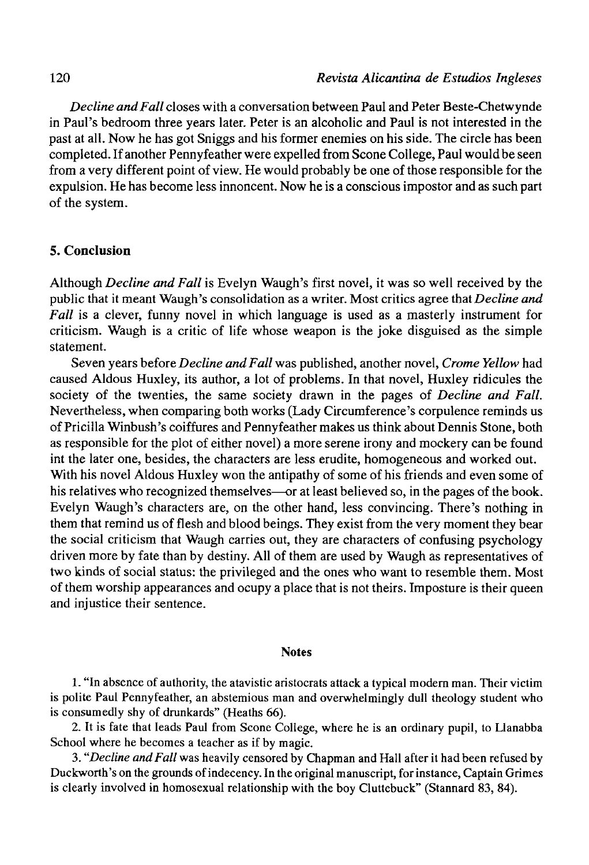*Decline andFall* closes with a conversation between Paul and Peter Beste-Chetwynde in Paul's bedroom three years later. Peter is an alcoholic and Paul is not interested in the past at all. Now he has got Sniggs and his former enemies on his side. The circle has been completed. If another Pennyfeather were expelled from Scone College, Paul would be seen from a very different point of view. He would probably be one of those responsible for the expulsión. He has become less innoncent. Now he is a conscious impostor and as such part of the system.

## **5. Conclusión**

Although *Decline and Fall* is Evelyn Waugh's first novel, it was so well received by the public that it meant Waugh's consolidation as a writer. Most critics agree that *Decline and Fall* is a clever, funny novel in which language is used as a masterly instrument for criticism. Waugh is a critic of life whose weapon is the joke disguised as the simple statement.

Seven years before *Decline andFall* was published, another novel, *Crome Yellow* had caused Aldous Huxley, its author, a lot of problems. In that novel, Huxley ridicules the society of the twenties, the same society drawn in the pages of *Decline and Fall.*  Nevertheless, when comparing both works (Lady Circumference's corpulence reminds us of Pricilla Winbush's coiffures and Pennyfeather malees us think about Dennis Stone, both as responsible for the plot of either novel) a more serene irony and mockery can be found int the later one, besides, the characters are less erudite, homogeneous and worked out. With his novel Aldous Huxley won the antipathy of some of his friends and even some of his relatives who recognized themselves—or at least believed so, in the pages of the book. Evelyn Waugh's characters are, on the other hand, less convincing. There's nothing in them that remind us of flesh and blood beings. They exist from the very moment they bear the social criticism that Waugh carries out, they are characters of confusing psychology driven more by fate than by destiny. All of them are used by Waugh as representatives of two kinds of social status: the privileged and the ones who want to resemble them. Most of them worship appearances and ocupy a place that is not theirs. Imposture is their queen and injustice their sentence.

#### **Notes**

1. "In absence of authority, the atavistic aristocrats attack a typical modern man. Their victim is polite Paul Pennyfeather, an abstemious man and overwhelmingly dull theology student who is consumedly shy of drunkards" (Heaths 66).

2. It is fate that leads Paul from Scone College, where he is an ordinary pupil, to Llanabba School where he becomes a teacher as if by magic.

3. *"Decline andFall* was heavily censored by Chapman and Hall after it had been refused by Duckworth's on the grounds of indeceney. In the original manuscript, for instance, Captain Grimes is clearly involved in homosexual relationship with the boy Cluttebuck" (Stannard 83, 84).